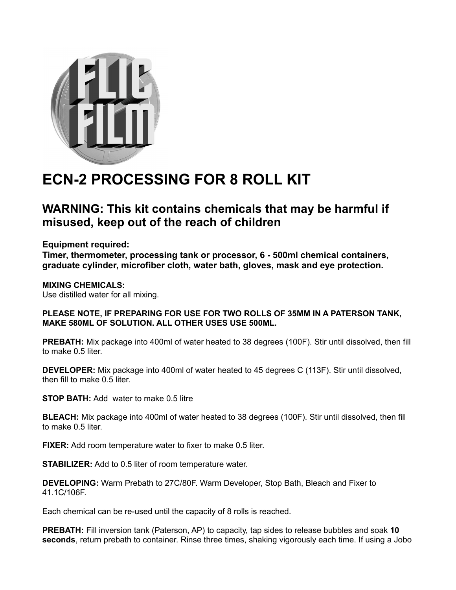

## **ECN-2 PROCESSING FOR 8 ROLL KIT**

## **WARNING: This kit contains chemicals that may be harmful if misused, keep out of the reach of children**

**Equipment required:**

**Timer, thermometer, processing tank or processor, 6 - 500ml chemical containers, graduate cylinder, microfiber cloth, water bath, gloves, mask and eye protection.**

**MIXING CHEMICALS:** Use distilled water for all mixing.

## **PLEASE NOTE, IF PREPARING FOR USE FOR TWO ROLLS OF 35MM IN A PATERSON TANK, MAKE 580ML OF SOLUTION. ALL OTHER USES USE 500ML.**

**PREBATH:** Mix package into 400ml of water heated to 38 degrees (100F). Stir until dissolved, then fill to make 0.5 liter.

**DEVELOPER:** Mix package into 400ml of water heated to 45 degrees C (113F). Stir until dissolved, then fill to make 0.5 liter.

**STOP BATH:** Add water to make 0.5 litre

**BLEACH:** Mix package into 400ml of water heated to 38 degrees (100F). Stir until dissolved, then fill to make 0.5 liter.

**FIXER:** Add room temperature water to fixer to make 0.5 liter.

**STABILIZER:** Add to 0.5 liter of room temperature water.

**DEVELOPING:** Warm Prebath to 27C/80F. Warm Developer, Stop Bath, Bleach and Fixer to 41.1C/106F.

Each chemical can be re-used until the capacity of 8 rolls is reached.

**PREBATH:** Fill inversion tank (Paterson, AP) to capacity, tap sides to release bubbles and soak **10 seconds**, return prebath to container. Rinse three times, shaking vigorously each time. If using a Jobo